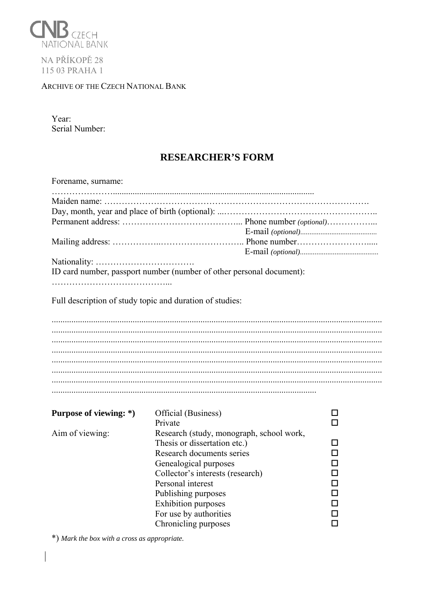

NA PŘÍKOPĚ<sub>28</sub> 115 03 PRAHA 1

## ARCHIVE OF THE CZECH NATIONAL BANK

Year: Serial Number:

## **RESEARCHER'S FORM**

| Forename, surname:                                                   |                                                                                                                                                                                                                                                                                                |         |  |  |  |  |  |  |
|----------------------------------------------------------------------|------------------------------------------------------------------------------------------------------------------------------------------------------------------------------------------------------------------------------------------------------------------------------------------------|---------|--|--|--|--|--|--|
|                                                                      |                                                                                                                                                                                                                                                                                                |         |  |  |  |  |  |  |
|                                                                      |                                                                                                                                                                                                                                                                                                |         |  |  |  |  |  |  |
| ID card number, passport number (number of other personal document): |                                                                                                                                                                                                                                                                                                |         |  |  |  |  |  |  |
| Full description of study topic and duration of studies:             |                                                                                                                                                                                                                                                                                                |         |  |  |  |  |  |  |
|                                                                      |                                                                                                                                                                                                                                                                                                |         |  |  |  |  |  |  |
|                                                                      |                                                                                                                                                                                                                                                                                                |         |  |  |  |  |  |  |
|                                                                      |                                                                                                                                                                                                                                                                                                |         |  |  |  |  |  |  |
|                                                                      |                                                                                                                                                                                                                                                                                                |         |  |  |  |  |  |  |
|                                                                      |                                                                                                                                                                                                                                                                                                |         |  |  |  |  |  |  |
|                                                                      |                                                                                                                                                                                                                                                                                                |         |  |  |  |  |  |  |
| Purpose of viewing: *)                                               | Official (Business)<br>Private                                                                                                                                                                                                                                                                 | ΙI<br>п |  |  |  |  |  |  |
| Aim of viewing:                                                      | Research (study, monograph, school work,<br>Thesis or dissertation etc.)<br>Research documents series<br>Genealogical purposes<br>Collector's interests (research)<br>Personal interest<br>Publishing purposes<br><b>Exhibition</b> purposes<br>For use by authorities<br>Chronicling purposes | П<br>П  |  |  |  |  |  |  |

\*) Mark the box with a cross as appropriate.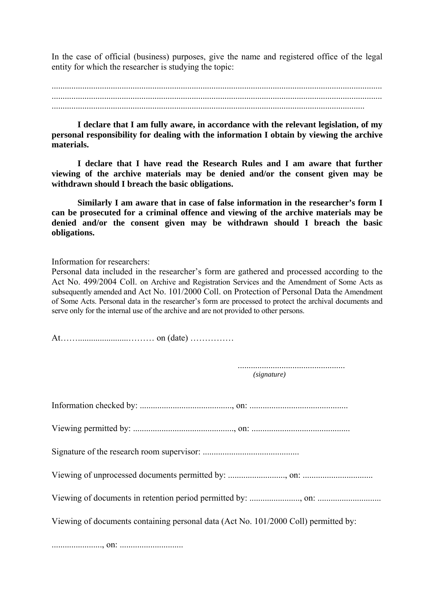In the case of official (business) purposes, give the name and registered office of the legal entity for which the researcher is studying the topic:

...............................................................................................................................................

**I declare that I am fully aware, in accordance with the relevant legislation, of my personal responsibility for dealing with the information I obtain by viewing the archive materials.** 

**I declare that I have read the Research Rules and I am aware that further viewing of the archive materials may be denied and/or the consent given may be withdrawn should I breach the basic obligations.** 

**Similarly I am aware that in case of false information in the researcher's form I can be prosecuted for a criminal offence and viewing of the archive materials may be denied and/or the consent given may be withdrawn should I breach the basic obligations.** 

Information for researchers:

Personal data included in the researcher's form are gathered and processed according to the Act No. 499/2004 Coll. on Archive and Registration Services and the Amendment of Some Acts as subsequently amended and Act No. 101/2000 Coll. on Protection of Personal Data the Amendment of Some Acts. Personal data in the researcher's form are processed to protect the archival documents and serve only for the internal use of the archive and are not provided to other persons.

At…….......................……… on (date) …………… ................................................. *(signature)*  Information checked by: .........................................., on: ............................................. Viewing permitted by: .............................................., on: ............................................. Signature of the research room supervisor: ............................................ Viewing of unprocessed documents permitted by: .........................., on: ................................ Viewing of documents in retention period permitted by: ......................., on: ............................. Viewing of documents containing personal data (Act No. 101/2000 Coll) permitted by: ......................., on: .............................